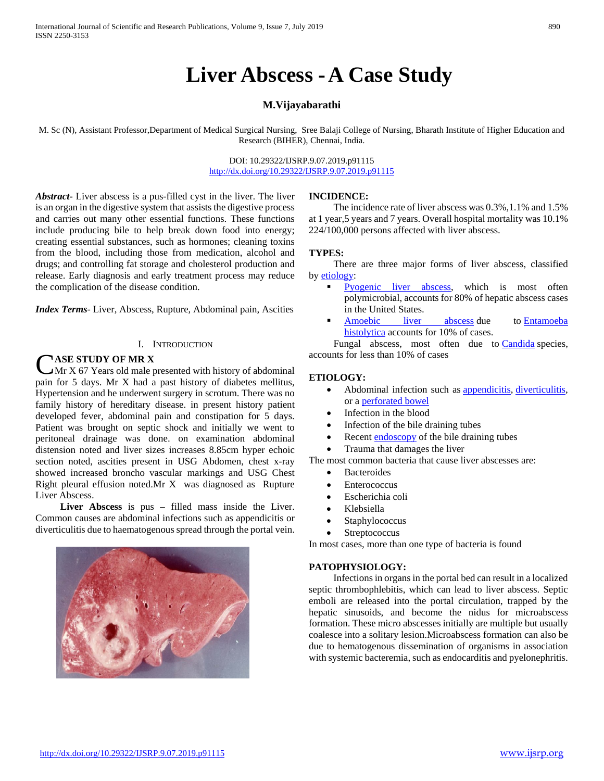# **Liver Abscess -A Case Study**

### **M.Vijayabarathi**

M. Sc (N), Assistant Professor,Department of Medical Surgical Nursing, Sree Balaji College of Nursing, Bharath Institute of Higher Education and Research (BIHER), Chennai, India.

> DOI: 10.29322/IJSRP.9.07.2019.p91115 <http://dx.doi.org/10.29322/IJSRP.9.07.2019.p91115>

*Abstract***-** Liver abscess is a pus-filled cyst in the liver. The liver is an organ in the digestive system that assists the digestive process and carries out many other essential functions. These functions include producing bile to help break down food into energy; creating essential substances, such as hormones; cleaning toxins from the blood, including those from medication, alcohol and drugs; and controlling fat storage and cholesterol production and release. Early diagnosis and early treatment process may reduce the complication of the disease condition.

*Index Terms*- Liver, Abscess, Rupture, Abdominal pain, Ascities

#### I. INTRODUCTION

## **ASE STUDY OF MR X**

 $\lambda$ Mr X 67 Years old male presented with history of abdominal **CASE STUDY OF MR X**<br>Mr X 67 Years old male presented with history of abdominal<br>pain for 5 days. Mr X had a past history of diabetes mellitus, Hypertension and he underwent surgery in scrotum. There was no family history of hereditary disease. in present history patient developed fever, abdominal pain and constipation for 5 days. Patient was brought on septic shock and initially we went to peritoneal drainage was done. on examination abdominal distension noted and liver sizes increases 8.85cm hyper echoic section noted, ascities present in USG Abdomen, chest x-ray showed increased broncho vascular markings and USG Chest Right pleural effusion noted.Mr X was diagnosed as Rupture Liver Abscess.

 **Liver Abscess** is pus – filled mass inside the Liver. Common causes are abdominal infections such as appendicitis or diverticulitis due to haematogenous spread through the portal vein.

# **INCIDENCE:**

 The incidence rate of liver abscess was 0.3%,1.1% and 1.5% at 1 year,5 years and 7 years. Overall hospital mortality was 10.1% 224/100,000 persons affected with liver abscess.

#### **TYPES:**

 There are three major forms of liver abscess, classified by [etiology:](http://en.wikipedia.org/wiki/Etiology)

- [Pyogenic liver abscess,](http://en.wikipedia.org/wiki/Pyogenic_liver_abscess) which is most often polymicrobial, accounts for 80% of hepatic abscess cases in the United States.
- [Amoebic liver abscess](http://en.wikipedia.org/wiki/Amoebic_liver_abscess) due to Entamoeba [histolytica](http://en.wikipedia.org/wiki/Entamoeba_histolytica) accounts for 10% of cases.

Fungal abscess, most often due to [Candida](http://en.wikipedia.org/wiki/Candida_(genus)) species, accounts for less than 10% of cases

#### **ETIOLOGY:**

- Abdominal infection such as [appendicitis,](http://www.ncbi.nlm.nih.gov/pubmedhealth/n/pmh_adam/A000256/) [diverticulitis,](http://www.ncbi.nlm.nih.gov/pubmedhealth/n/pmh_adam/A000257/) or a [perforated bowel](http://www.ncbi.nlm.nih.gov/pubmedhealth/n/pmh_adam/A000235/)
- Infection in the blood
- Infection of the bile draining tubes
- Recent [endoscopy](http://www.ncbi.nlm.nih.gov/pubmedhealth/n/pmh_adam/A003338/) of the bile draining tubes
- Trauma that damages the liver

The most common bacteria that cause liver abscesses are:

- **Bacteroides**
- **Enterococcus**
- Escherichia coli
- Klebsiella
- **Staphylococcus**
- **Streptococcus**

In most cases, more than one type of bacteria is found

#### **PATOPHYSIOLOGY:**

 Infections in organs in the portal bed can result in a localized septic thrombophlebitis, which can lead to liver abscess. Septic emboli are released into the portal circulation, trapped by the hepatic sinusoids, and become the nidus for microabscess formation. These micro abscesses initially are multiple but usually coalesce into a solitary lesion.Microabscess formation can also be due to hematogenous dissemination of organisms in association with systemic bacteremia, such as endocarditis and pyelonephritis.

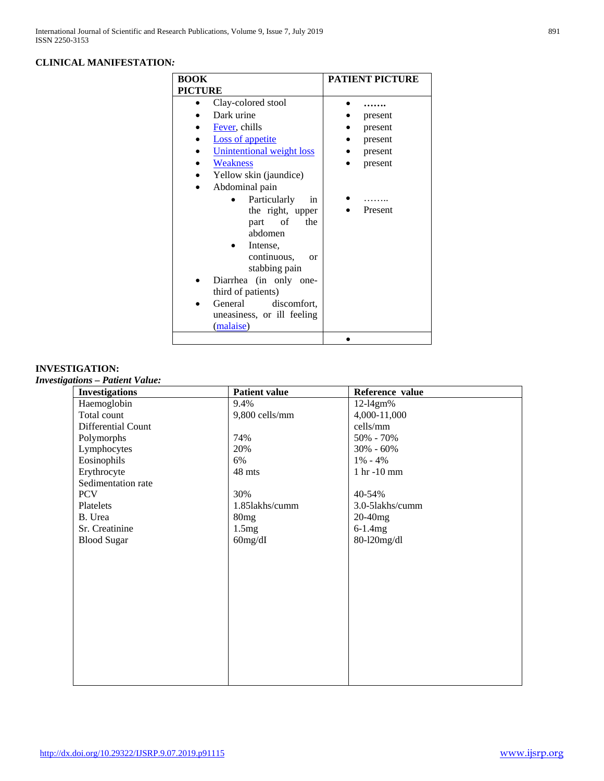# **CLINICAL MANIFESTATION***:*

| <b>BOOK</b>                   | <b>PATIENT PICTURE</b> |
|-------------------------------|------------------------|
| <b>PICTURE</b>                |                        |
| Clay-colored stool            |                        |
| Dark urine                    | present                |
| Fever, chills                 | present                |
| <b>Loss of appetite</b>       | present                |
| Unintentional weight loss     | present                |
| Weakness                      | present                |
| Yellow skin (jaundice)        |                        |
| Abdominal pain                |                        |
| Particularly<br><sub>in</sub> |                        |
| the right, upper              | Present                |
| of<br>the<br>part             |                        |
| abdomen                       |                        |
| Intense,                      |                        |
| continuous,<br><b>or</b>      |                        |
| stabbing pain                 |                        |
| Diarrhea (in only one-        |                        |
| third of patients)            |                        |
| General<br>discomfort.        |                        |
| uneasiness, or ill feeling    |                        |
| (malaise)                     |                        |
|                               |                        |

# **INVESTIGATION:**

*Investigations – Patient Value:*

| <b>Patient value</b> | Reference value |
|----------------------|-----------------|
| 9.4%                 | 12-14gm%        |
| 9,800 cells/mm       | 4,000-11,000    |
|                      | cells/mm        |
|                      | 50% - 70%       |
| 20%                  | $30\% - 60\%$   |
| 6%                   | $1\% - 4\%$     |
| 48 mts               | 1 hr -10 mm     |
|                      |                 |
| 30%                  | 40-54%          |
| 1.85lakhs/cumm       | 3.0-51akhs/cumm |
| 80mg                 | $20-40mg$       |
| 1.5mg                | $6-1.4mg$       |
|                      | 80-120mg/dl     |
|                      |                 |
|                      |                 |
|                      |                 |
|                      |                 |
|                      |                 |
|                      |                 |
|                      |                 |
|                      |                 |
|                      |                 |
|                      |                 |
|                      |                 |
|                      |                 |
|                      | 74%<br>60mg/dI  |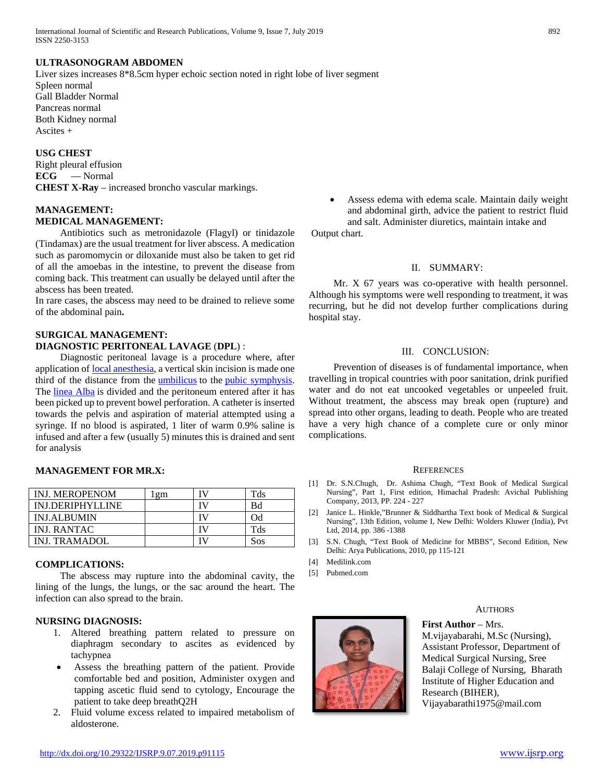#### **ULTRASONOGRAM ABDOMEN**

Liver sizes increases 8\*8.5cm hyper echoic section noted in right lobe of liver segment Spleen normal Gall Bladder Normal Pancreas normal Both Kidney normal Ascites +

#### **USG CHEST**

Right pleural effusion **ECG** — Normal **CHEST X-Ray** – increased broncho vascular markings.

#### **MANAGEMENT: MEDICAL MANAGEMENT:**

 Antibiotics such as metronidazole (Flagyl) or tinidazole (Tindamax) are the usual treatment for liver abscess. A medication such as paromomycin or diloxanide must also be taken to get rid of all the amoebas in the intestine, to prevent the disease from coming back. This treatment can usually be delayed until after the abscess has been treated.

In rare cases, the abscess may need to be drained to relieve some of the abdominal pain**.** 

#### **SURGICAL MANAGEMENT: DIAGNOSTIC PERITONEAL LAVAGE** (**DPL**) :

 Diagnostic peritoneal lavage is a procedure where, after application of [local anesthesia,](http://en.wikipedia.org/wiki/Local_anesthesia) a vertical skin incision is made one third of the distance from the [umbilicus](http://en.wikipedia.org/wiki/Navel) to the [pubic symphysis.](http://en.wikipedia.org/wiki/Pubic_symphysis)  The [linea Alba](http://en.wikipedia.org/wiki/Linea_alba_(abdomen)) is divided and the peritoneum entered after it has been picked up to prevent bowel perforation. A catheter is inserted towards the pelvis and aspiration of material attempted using a syringe. If no blood is aspirated, 1 liter of warm 0.9% saline is infused and after a few (usually 5) minutes this is drained and sent for analysis

#### **MANAGEMENT FOR MR.X:**

| <b>INJ. MEROPENOM</b> | gm | TV  | Tds |
|-----------------------|----|-----|-----|
| INJ.DERIPHYLLINE      |    | TV. | Bd  |
| <b>INJ.ALBUMIN</b>    |    |     | Od  |
| INJ. RANTAC           |    |     | Tds |
| INJ. TRAMADOL         |    |     | Sos |

#### **COMPLICATIONS:**

 The abscess may rupture into the abdominal cavity, the lining of the lungs, the lungs, or the sac around the heart. The infection can also spread to the brain.

#### **NURSING DIAGNOSIS:**

- 1. Altered breathing pattern related to pressure on diaphragm secondary to ascites as evidenced by tachypnea
- Assess the breathing pattern of the patient. Provide comfortable bed and position, Administer oxygen and tapping ascetic fluid send to cytology, Encourage the patient to take deep breathQ2H
- 2. Fluid volume excess related to impaired metabolism of aldosterone.

Assess edema with edema scale. Maintain daily weight and abdominal girth, advice the patient to restrict fluid and salt. Administer diuretics, maintain intake and

Output chart.

#### II. SUMMARY:

 Mr. X 67 years was co-operative with health personnel. Although his symptoms were well responding to treatment, it was recurring, but he did not develop further complications during hospital stay.

#### III. CONCLUSION:

 Prevention of diseases is of fundamental importance, when travelling in tropical countries with poor sanitation, drink purified water and do not eat uncooked vegetables or unpeeled fruit. Without treatment, the abscess may break open (rupture) and spread into other organs, leading to death. People who are treated have a very high chance of a complete cure or only minor complications.

#### **REFERENCES**

- [1] Dr. S.N.Chugh, Dr. Ashima Chugh, "Text Book of Medical Surgical Nursing", Part 1, First edition, Himachal Pradesh: Avichal Publishing Company, 2013, PP. 224 - 227
- [2] Janice L. Hinkle,"Brunner & Siddhartha Text book of Medical & Surgical Nursing", 13th Edition, volume I, New Delhi: Wolders Kluwer (India), Pvt Ltd, 2014, pp. 386 -1388
- [3] S.N. Chugh, "Text Book of Medicine for MBBS", Second Edition, New Delhi: Arya Publications, 2010, pp 115-121
- [4] Medilink.com
- [5] Pubmed.com



#### **AUTHORS**

**First Author – Mrs.** M.vijayabarahi, M.Sc (Nursing), Assistant Professor, Department of Medical Surgical Nursing, Sree Balaji College of Nursing, Bharath Institute of Higher Education and Research (BIHER), Vijayabarathi1975@mail.com